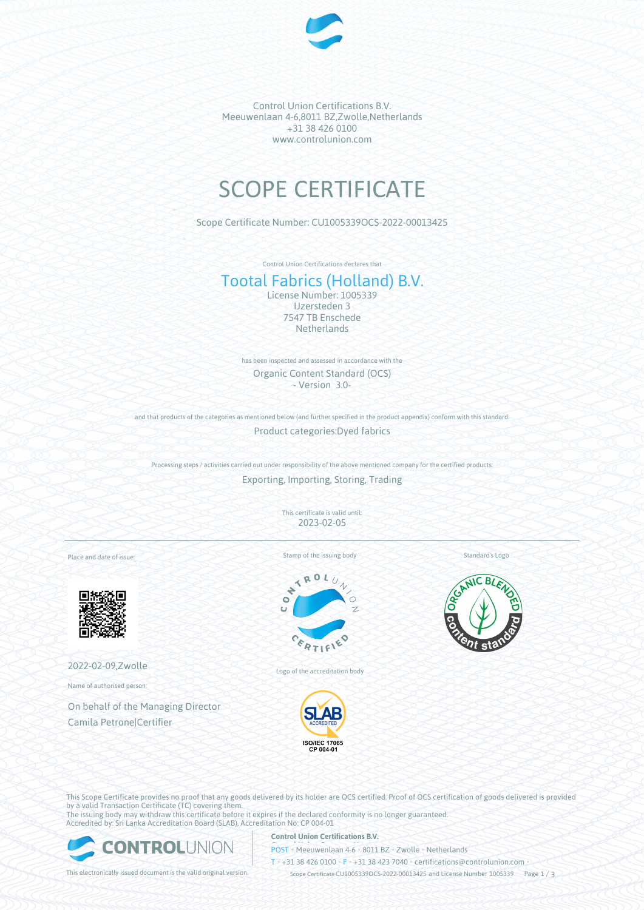

Control Union Certifications B.V. Meeuwenlaan 4-6,8011 BZ,Zwolle,Netherlands +31 38 426 0100 www.controlunion.com

# SCOPE CERTIFICATE

Scope Certificate Number: CU1005339OCS-2022-00013425

Control Union Certifications declares that

# Tootal Fabrics (Holland) B.V.

License Number: 1005339 IJzersteden 3 7547 TB Enschede **Netherlands** 

has been inspected and assessed in accordance with the Organic Content Standard (OCS) - Version 3.0-

and that products of the categories as mentioned below (and further specified in the product appendix) conform with this standard. Product categories:Dyed fabrics

Processing steps / activities carried out under responsibility of the above mentioned company for the certified products: Exporting, Importing, Storing, Trading

> This certificate is valid until: 2023-02-05

Place and date of issue:



2022-02-09,Zwolle

Name of authorised person:

On behalf of the Managing Director Camila Petrone|Certifier

Stamp of the issuing body



Logo of the accreditation body



Standard's Logo



This Scope Certificate provides no proof that any goods delivered by its holder are OCS certified. Proof of OCS certification of goods delivered is provided by a valid Transaction Certificate (TC) covering them. The issuing body may withdraw this certificate before it expires if the declared conformity is no longer guaranteed.

Accredited by: Sri Lanka Accreditation Board (SLAB), Accreditation No: CP 004-01



#### **Control Union Certifications B.V.**

**POST** • Meeuwenlaan 4-6 • 8011 BZ • Zwolle • Netherlands

T • +31 38 426 0100 • F • +31 38 423 7040 • certifications@controlunion.com •

This electronically issued document is the valid original version. Scope Certificate CU1005339OCS-2022-00013425 and License Number 1005339 Page 1 / 3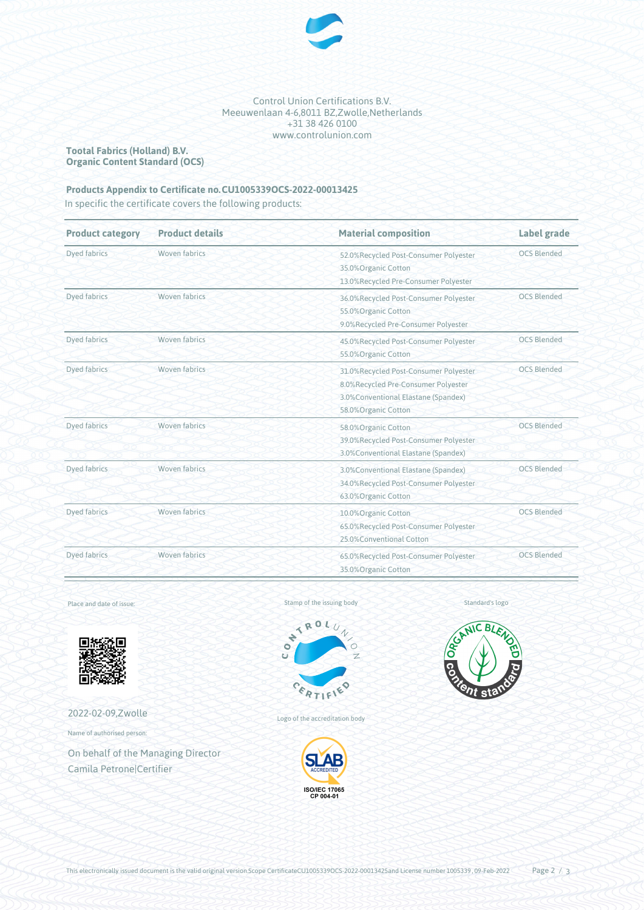

Control Union Certifications B.V. Meeuwenlaan 4-6,8011 BZ,Zwolle,Netherlands +31 38 426 0100 www.controlunion.com

**Tootal Fabrics (Holland) B.V. Organic Content Standard (OCS)**

### Products Appendix to Certificate no. CU1005339OCS-2022-00013425

In specific the certificate covers the following products:

| <b>Product category</b> | <b>Product details</b> | <b>Material composition</b>                                                                                                                 | Label grade        |
|-------------------------|------------------------|---------------------------------------------------------------------------------------------------------------------------------------------|--------------------|
| Dyed fabrics            | Woven fabrics          | 52.0%Recycled Post-Consumer Polyester<br>35.0%Organic Cotton<br>13.0%Recycled Pre-Consumer Polyester                                        | <b>OCS Blended</b> |
| <b>Dyed fabrics</b>     | Woven fabrics          | 36.0%Recycled Post-Consumer Polyester<br>55.0% Organic Cotton<br>9.0%Recycled Pre-Consumer Polyester                                        | <b>OCS Blended</b> |
| Dyed fabrics            | Woven fabrics          | 45.0%Recycled Post-Consumer Polyester<br>55.0%Organic Cotton                                                                                | <b>OCS Blended</b> |
| Dyed fabrics            | Woven fabrics          | 31.0%Recycled Post-Consumer Polyester<br>8.0%Recycled Pre-Consumer Polyester<br>3.0% Conventional Elastane (Spandex)<br>58.0%Organic Cotton | <b>OCS Blended</b> |
| Dyed fabrics            | Woven fabrics          | 58.0%Organic Cotton<br>39.0%Recycled Post-Consumer Polyester<br>3.0% Conventional Elastane (Spandex)                                        | <b>OCS Blended</b> |
| Dyed fabrics            | Woven fabrics          | <b>OCS Blended</b><br>3.0% Conventional Elastane (Spandex)<br>34.0%Recycled Post-Consumer Polyester<br>63.0%Organic Cotton                  |                    |
| Dyed fabrics            | Woven fabrics          | <b>OCS Blended</b><br>10.0% Organic Cotton<br>65.0%Recycled Post-Consumer Polyester<br>25.0%Conventional Cotton                             |                    |
| Dyed fabrics            | Woven fabrics          | 65.0%Recycled Post-Consumer Polyester<br>35.0%Organic Cotton                                                                                | <b>OCS Blended</b> |

Place and date of issue:



2022-02-09,Zwolle

Name of authorised person:

On behalf of the Managing Director Camila Petrone|Certifier



Logo of the accreditation body



Standard's logo